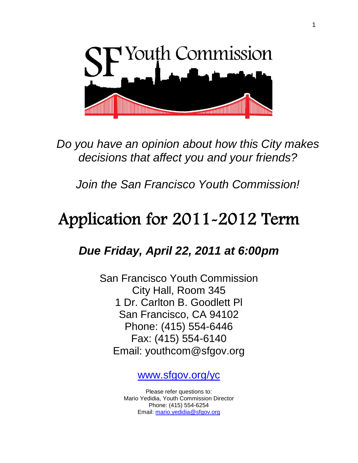

 *Do you have an opinion about how this City makes decisions that affect you and your friends?*

*Join the San Francisco Youth Commission!*

# Application for 2011-2012 Term

*Due Friday, April 22, 2011 at 6:00pm*

San Francisco Youth Commission City Hall, Room 345 1 Dr. Carlton B. Goodlett Pl San Francisco, CA 94102 Phone: (415) 554-6446 Fax: (415) 554-6140 Email: youthcom@sfgov.org

[www.sfgov.org/yc](http://www.sfgov.org/yc)

Please refer questions to: Mario Yedidia, Youth Commission Director Phone: (415) 554-6254 Email: [mario.yedidia@sfgov.org](mailto:mario.yedidia@sfgov.org)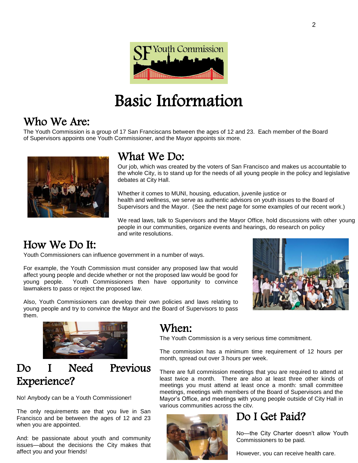

# Basic Information

### Who We Are:

The Youth Commission is a group of 17 San Franciscans between the ages of 12 and 23. Each member of the Board of Supervisors appoints one Youth Commissioner, and the Mayor appoints six more.



## What We Do:

Our job, which was created by the voters of San Francisco and makes us accountable to the whole City, is to stand up for the needs of all young people in the policy and legislative debates at City Hall.

Whether it comes to MUNI, housing, education, juvenile justice or health and wellness, we serve as authentic advisors on youth issues to the Board of Supervisors and the Mayor. (See the next page for some examples of our recent work.)

We read laws, talk to Supervisors and the Mayor Office, hold discussions with other young people in our communities, organize events and hearings, do research on policy and write resolutions.

## How We Do It:

Youth Commissioners can influence government in a number of ways.

For example, the Youth Commission must consider any proposed law that would affect young people and decide whether or not the proposed law would be good for young people. Youth Commissioners then have opportunity to convince lawmakers to pass or reject the proposed law.



Also, Youth Commissioners can develop their own policies and laws relating to young people and try to convince the Mayor and the Board of Supervisors to pass them.



## Do I Need Previous Experience?

No! Anybody can be a Youth Commissioner!

The only requirements are that you live in San Francisco and be between the ages of 12 and 23 when you are appointed.

And: be passionate about youth and community issues—about the decisions the City makes that affect you and your friends!

## When:

The Youth Commission is a very serious time commitment.

The commission has a minimum time requirement of 12 hours per month, spread out over 3 hours per week.

There are full commission meetings that you are required to attend at least twice a month. There are also at least three other kinds of meetings you must attend at least once a month: small committee meetings, meetings with members of the Board of Supervisors and the Mayor's Office, and meetings with young people outside of City Hall in various communities across the city.



## Do I Get Paid?

No—the City Charter doesn't allow Youth Commissioners to be paid.

However, you can receive health care.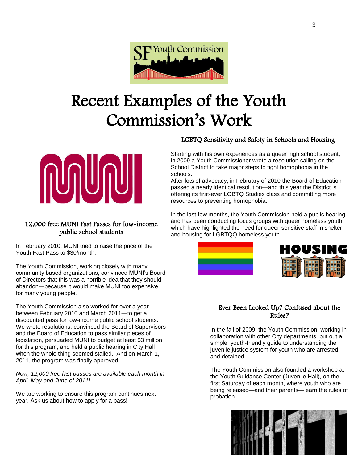

# Recent Examples of the Youth Commission's Work



#### 12,000 free MUNI Fast Passes for low-income public school students

In February 2010, MUNI tried to raise the price of the Youth Fast Pass to \$30/month.

The Youth Commission, working closely with many community based organizations, convinced MUNI's Board of Directors that this was a horrible idea that they should abandon—because it would make MUNI too expensive for many young people.

The Youth Commission also worked for over a year between February 2010 and March 2011—to get a discounted pass for low-income public school students. We wrote resolutions, convinced the Board of Supervisors and the Board of Education to pass similar pieces of legislation, persuaded MUNI to budget at least \$3 million for this program, and held a public hearing in City Hall when the whole thing seemed stalled. And on March 1, 2011, the program was finally approved.

#### *Now, 12,000 free fast passes are available each month in April, May and June of 2011!*

We are working to ensure this program continues next year. Ask us about how to apply for a pass!

#### LGBTQ Sensitivity and Safety in Schools and Housing

Starting with his own experiences as a queer high school student, in 2009 a Youth Commissioner wrote a resolution calling on the School District to take major steps to fight homophobia in the schools.

After lots of advocacy, in February of 2010 the Board of Education passed a nearly identical resolution—and this year the District is offering its first-ever LGBTQ Studies class and committing more resources to preventing homophobia.

In the last few months, the Youth Commission held a public hearing and has been conducting focus groups with queer homeless youth, which have highlighted the need for queer-sensitive staff in shelter and housing for LGBTQQ homeless youth.



#### Ever Been Locked Up? Confused about the Rules?

In the fall of 2009, the Youth Commission, working in collaboration with other City departments, put out a simple, youth-friendly guide to understanding the juvenile justice system for youth who are arrested and detained.

The Youth Commission also founded a workshop at the Youth Guidance Center (Juvenile Hall), on the first Saturday of each month, where youth who are being released—and their parents—learn the rules of probation.

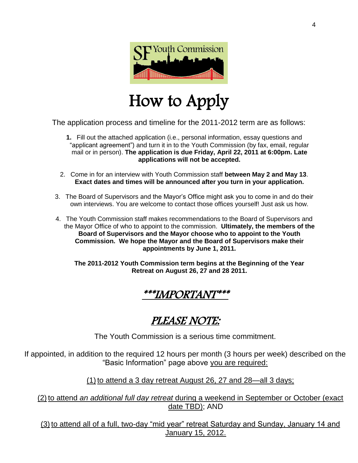

## How to Apply

The application process and timeline for the 2011-2012 term are as follows:

- **1.** Fill out the attached application (i.e., personal information, essay questions and "applicant agreement") and turn it in to the Youth Commission (by fax, email, regular mail or in person). **The application is due Friday, April 22, 2011 at 6:00pm. Late applications will not be accepted.**
- 2. Come in for an interview with Youth Commission staff **between May 2 and May 13**. **Exact dates and times will be announced after you turn in your application.**
- 3. The Board of Supervisors and the Mayor's Office might ask you to come in and do their own interviews. You are welcome to contact those offices yourself! Just ask us how.
- 4. The Youth Commission staff makes recommendations to the Board of Supervisors and the Mayor Office of who to appoint to the commission. **Ultimately, the members of the Board of Supervisors and the Mayor choose who to appoint to the Youth Commission. We hope the Mayor and the Board of Supervisors make their appointments by June 1, 2011.**

**The 2011-2012 Youth Commission term begins at the Beginning of the Year Retreat on August 26, 27 and 28 2011.**

## \*\*\*IMPORTANT\*\*\*

## PLEASE NOTE:

The Youth Commission is a serious time commitment.

If appointed, in addition to the required 12 hours per month (3 hours per week) described on the "Basic Information" page above you are required:

(1) to attend a 3 day retreat August 26, 27 and 28—all 3 days;

(2) to attend *an additional full day retreat* during a weekend in September or October (exact date TBD); AND

(3) to attend all of a full, two-day "mid year" retreat Saturday and Sunday, January 14 and January 15, 2012.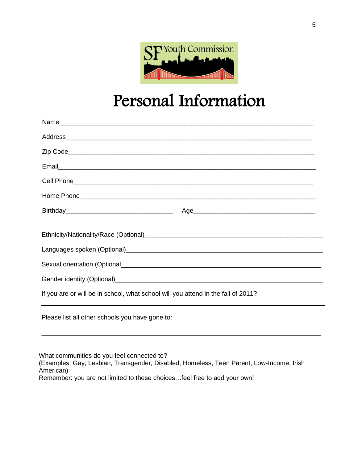

## Personal Information

| Birthday <b>Age</b> Age 2014 2016 2021 2021 2022 2023 2024 2022 2022 2023 2024 2022 2023 2024 2022 2023 2024 2022 2023 2024 2022 2023 2024 2022 2023 2024 2023 2024 2022 2023 2024 2023 2024 2023 2024 2023 2024 2023 2024 2023 202 |
|-------------------------------------------------------------------------------------------------------------------------------------------------------------------------------------------------------------------------------------|
|                                                                                                                                                                                                                                     |
|                                                                                                                                                                                                                                     |
|                                                                                                                                                                                                                                     |
|                                                                                                                                                                                                                                     |
| If you are or will be in school, what school will you attend in the fall of 2011?                                                                                                                                                   |
| Please list all other schools you have gone to:                                                                                                                                                                                     |

What communities do you feel connected to? (Examples: Gay, Lesbian, Transgender, Disabled, Homeless, Teen Parent, Low-Income, Irish American) Remember: you are not limited to these choices…feel free to add your own!

\_\_\_\_\_\_\_\_\_\_\_\_\_\_\_\_\_\_\_\_\_\_\_\_\_\_\_\_\_\_\_\_\_\_\_\_\_\_\_\_\_\_\_\_\_\_\_\_\_\_\_\_\_\_\_\_\_\_\_\_\_\_\_\_\_\_\_\_\_\_\_\_\_\_\_\_\_\_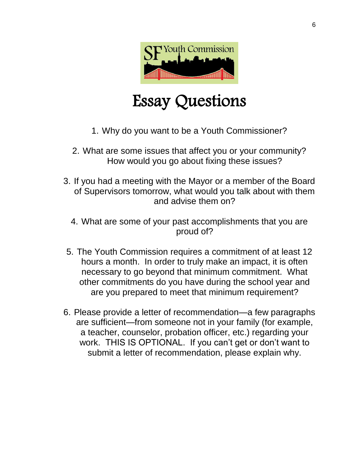

# Essay Questions

- 1. Why do you want to be a Youth Commissioner?
- 2. What are some issues that affect you or your community? How would you go about fixing these issues?
- 3. If you had a meeting with the Mayor or a member of the Board of Supervisors tomorrow, what would you talk about with them and advise them on?
	- 4. What are some of your past accomplishments that you are proud of?
- 5. The Youth Commission requires a commitment of at least 12 hours a month. In order to truly make an impact, it is often necessary to go beyond that minimum commitment. What other commitments do you have during the school year and are you prepared to meet that minimum requirement?
- 6. Please provide a letter of recommendation—a few paragraphs are sufficient—from someone not in your family (for example, a teacher, counselor, probation officer, etc.) regarding your work. THIS IS OPTIONAL. If you can't get or don't want to submit a letter of recommendation, please explain why.